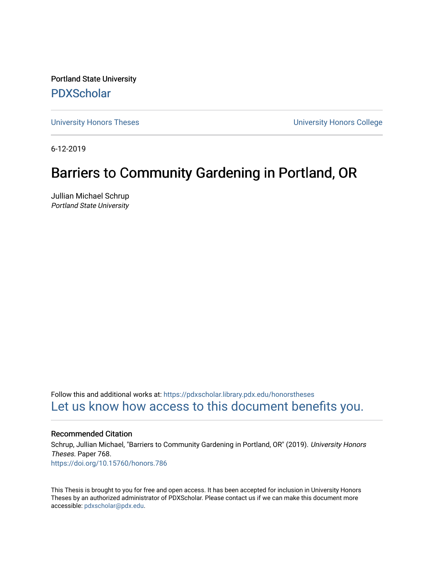Portland State University [PDXScholar](https://pdxscholar.library.pdx.edu/)

[University Honors Theses](https://pdxscholar.library.pdx.edu/honorstheses) [University Honors College](https://pdxscholar.library.pdx.edu/honors) 

6-12-2019

# Barriers to Community Gardening in Portland, OR

Jullian Michael Schrup Portland State University

Follow this and additional works at: [https://pdxscholar.library.pdx.edu/honorstheses](https://pdxscholar.library.pdx.edu/honorstheses?utm_source=pdxscholar.library.pdx.edu%2Fhonorstheses%2F768&utm_medium=PDF&utm_campaign=PDFCoverPages)  [Let us know how access to this document benefits you.](http://library.pdx.edu/services/pdxscholar-services/pdxscholar-feedback/) 

#### Recommended Citation

Schrup, Jullian Michael, "Barriers to Community Gardening in Portland, OR" (2019). University Honors Theses. Paper 768. <https://doi.org/10.15760/honors.786>

This Thesis is brought to you for free and open access. It has been accepted for inclusion in University Honors Theses by an authorized administrator of PDXScholar. Please contact us if we can make this document more accessible: [pdxscholar@pdx.edu.](mailto:pdxscholar@pdx.edu)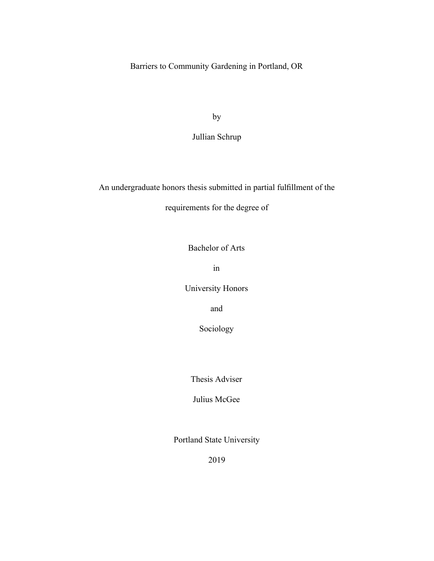Barriers to Community Gardening in Portland, OR

by

Jullian Schrup

An undergraduate honors thesis submitted in partial fulllment of the

requirements for the degree of

Bachelor of Arts

in

University Honors

and

Sociology

Thesis Adviser

Julius McGee

Portland State University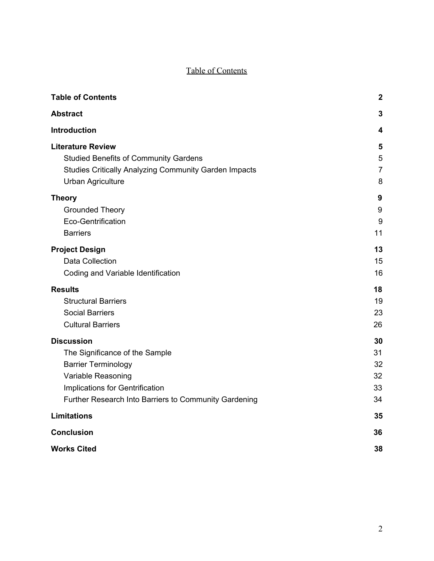# Table of Contents

<span id="page-2-0"></span>

| <b>Table of Contents</b>                                     | $\boldsymbol{2}$ |
|--------------------------------------------------------------|------------------|
| <b>Abstract</b>                                              | 3                |
| Introduction                                                 | 4                |
| <b>Literature Review</b>                                     | 5                |
| <b>Studied Benefits of Community Gardens</b>                 | 5                |
| <b>Studies Critically Analyzing Community Garden Impacts</b> | $\overline{7}$   |
| <b>Urban Agriculture</b>                                     | 8                |
| <b>Theory</b>                                                | 9                |
| <b>Grounded Theory</b>                                       | 9                |
| Eco-Gentrification                                           | 9                |
| <b>Barriers</b>                                              | 11               |
| <b>Project Design</b>                                        | 13               |
| Data Collection                                              | 15               |
| Coding and Variable Identification                           | 16               |
| <b>Results</b>                                               | 18               |
| <b>Structural Barriers</b>                                   | 19               |
| <b>Social Barriers</b>                                       | 23               |
| <b>Cultural Barriers</b>                                     | 26               |
| <b>Discussion</b>                                            | 30               |
| The Significance of the Sample                               | 31               |
| <b>Barrier Terminology</b>                                   | 32               |
| Variable Reasoning                                           | 32               |
| Implications for Gentrification                              | 33               |
| Further Research Into Barriers to Community Gardening        | 34               |
| <b>Limitations</b>                                           | 35               |
| <b>Conclusion</b>                                            | 36               |
| <b>Works Cited</b>                                           | 38               |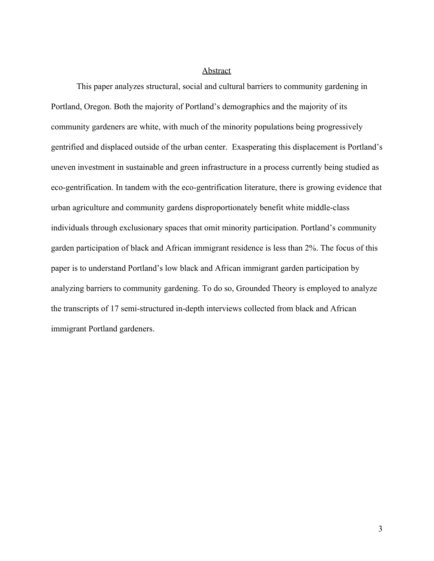#### Abstract

<span id="page-3-0"></span>This paper analyzes structural, social and cultural barriers to community gardening in Portland, Oregon. Both the majority of Portland's demographics and the majority of its community gardeners are white, with much of the minority populations being progressively gentrified and displaced outside of the urban center. Exasperating this displacement is Portland's uneven investment in sustainable and green infrastructure in a process currently being studied as eco-gentrification. In tandem with the eco-gentrification literature, there is growing evidence that urban agriculture and community gardens disproportionately benefit white middle-class individuals through exclusionary spaces that omit minority participation. Portland's community garden participation of black and African immigrant residence is less than 2%. The focus of this paper is to understand Portland's low black and African immigrant garden participation by analyzing barriers to community gardening. To do so, Grounded Theory is employed to analyze the transcripts of 17 semi-structured in-depth interviews collected from black and African immigrant Portland gardeners.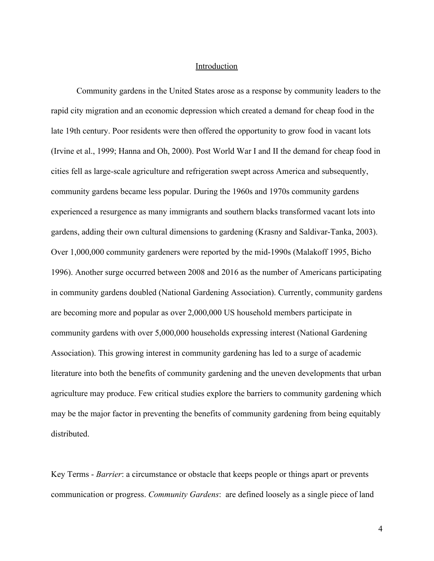#### **Introduction**

<span id="page-4-0"></span>Community gardens in the United States arose as a response by community leaders to the rapid city migration and an economic depression which created a demand for cheap food in the late 19th century. Poor residents were then offered the opportunity to grow food in vacant lots (Irvine et al., 1999; Hanna and Oh, 2000). Post World War I and II the demand for cheap food in cities fell as large-scale agriculture and refrigeration swept across America and subsequently, community gardens became less popular. During the 1960s and 1970s community gardens experienced a resurgence as many immigrants and southern blacks transformed vacant lots into gardens, adding their own cultural dimensions to gardening (Krasny and Saldivar-Tanka, 2003). Over 1,000,000 community gardeners were reported by the mid-1990s (Malakoff 1995, Bicho 1996). Another surge occurred between 2008 and 2016 as the number of Americans participating in community gardens doubled (National Gardening Association). Currently, community gardens are becoming more and popular as over 2,000,000 US household members participate in community gardens with over 5,000,000 households expressing interest (National Gardening Association). This growing interest in community gardening has led to a surge of academic literature into both the benefits of community gardening and the uneven developments that urban agriculture may produce. Few critical studies explore the barriers to community gardening which may be the major factor in preventing the benefits of community gardening from being equitably distributed.

Key Terms - *Barrier*: a circumstance or obstacle that keeps people or things apart or prevents communication or progress. *Community Gardens*: are defined loosely as a single piece of land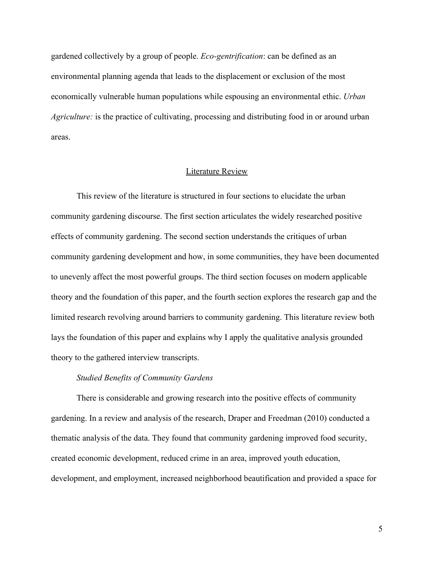gardened collectively by a group of people. *Eco-gentrification*: can be defined as an environmental planning agenda that leads to the displacement or exclusion of the most economically vulnerable human populations while espousing an environmental ethic. *Urban Agriculture:* is the practice of cultivating, processing and distributing food in or around urban areas.

### Literature Review

<span id="page-5-0"></span>This review of the literature is structured in four sections to elucidate the urban community gardening discourse. The first section articulates the widely researched positive effects of community gardening. The second section understands the critiques of urban community gardening development and how, in some communities, they have been documented to unevenly affect the most powerful groups. The third section focuses on modern applicable theory and the foundation of this paper, and the fourth section explores the research gap and the limited research revolving around barriers to community gardening. This literature review both lays the foundation of this paper and explains why I apply the qualitative analysis grounded theory to the gathered interview transcripts.

#### *Studied Benefits of Community Gardens*

<span id="page-5-1"></span>There is considerable and growing research into the positive effects of community gardening. In a review and analysis of the research, Draper and Freedman (2010) conducted a thematic analysis of the data. They found that community gardening improved food security, created economic development, reduced crime in an area, improved youth education, development, and employment, increased neighborhood beautification and provided a space for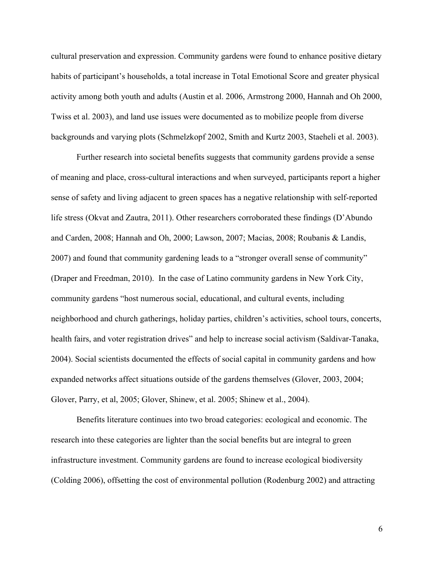cultural preservation and expression. Community gardens were found to enhance positive dietary habits of participant's households, a total increase in Total Emotional Score and greater physical activity among both youth and adults (Austin et al. 2006, Armstrong 2000, Hannah and Oh 2000, Twiss et al. 2003), and land use issues were documented as to mobilize people from diverse backgrounds and varying plots (Schmelzkopf 2002, Smith and Kurtz 2003, Staeheli et al. 2003).

Further research into societal benefits suggests that community gardens provide a sense of meaning and place, cross-cultural interactions and when surveyed, participants report a higher sense of safety and living adjacent to green spaces has a negative relationship with self-reported life stress (Okvat and Zautra, 2011). Other researchers corroborated these findings (D'Abundo and Carden, 2008; Hannah and Oh, 2000; Lawson, 2007; Macias, 2008; Roubanis & Landis, 2007) and found that community gardening leads to a "stronger overall sense of community" (Draper and Freedman, 2010). In the case of Latino community gardens in New York City, community gardens "host numerous social, educational, and cultural events, including neighborhood and church gatherings, holiday parties, children's activities, school tours, concerts, health fairs, and voter registration drives" and help to increase social activism (Saldivar-Tanaka, 2004). Social scientists documented the effects of social capital in community gardens and how expanded networks affect situations outside of the gardens themselves (Glover, 2003, 2004; Glover, Parry, et al, 2005; Glover, Shinew, et al. 2005; Shinew et al., 2004).

Benefits literature continues into two broad categories: ecological and economic. The research into these categories are lighter than the social benefits but are integral to green infrastructure investment. Community gardens are found to increase ecological biodiversity (Colding 2006), offsetting the cost of environmental pollution (Rodenburg 2002) and attracting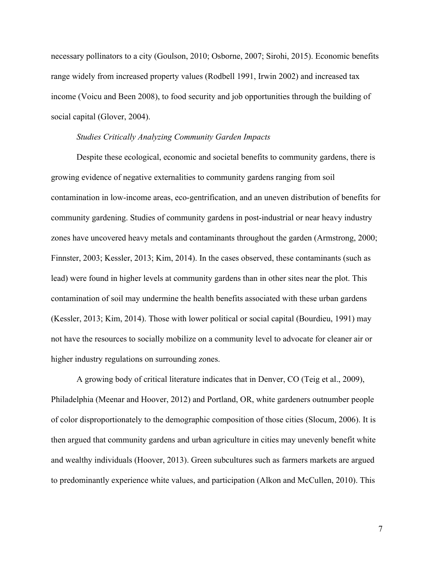necessary pollinators to a city (Goulson, 2010; Osborne, 2007; Sirohi, 2015). Economic benefits range widely from increased property values (Rodbell 1991, Irwin 2002) and increased tax income (Voicu and Been 2008), to food security and job opportunities through the building of social capital (Glover, 2004).

#### *Studies Critically Analyzing Community Garden Impacts*

<span id="page-7-0"></span>Despite these ecological, economic and societal benefits to community gardens, there is growing evidence of negative externalities to community gardens ranging from soil contamination in low-income areas, eco-gentrification, and an uneven distribution of benefits for community gardening. Studies of community gardens in post-industrial or near heavy industry zones have uncovered heavy metals and contaminants throughout the garden (Armstrong, 2000; Finnster, 2003; Kessler, 2013; Kim, 2014). In the cases observed, these contaminants (such as lead) were found in higher levels at community gardens than in other sites near the plot. This contamination of soil may undermine the health benefits associated with these urban gardens (Kessler, 2013; Kim, 2014). Those with lower political or social capital (Bourdieu, 1991) may not have the resources to socially mobilize on a community level to advocate for cleaner air or higher industry regulations on surrounding zones.

A growing body of critical literature indicates that in Denver, CO (Teig et al., 2009), Philadelphia (Meenar and Hoover, 2012) and Portland, OR, white gardeners outnumber people of color disproportionately to the demographic composition of those cities (Slocum, 2006). It is then argued that community gardens and urban agriculture in cities may unevenly benefit white and wealthy individuals (Hoover, 2013). Green subcultures such as farmers markets are argued to predominantly experience white values, and participation (Alkon and McCullen, 2010). This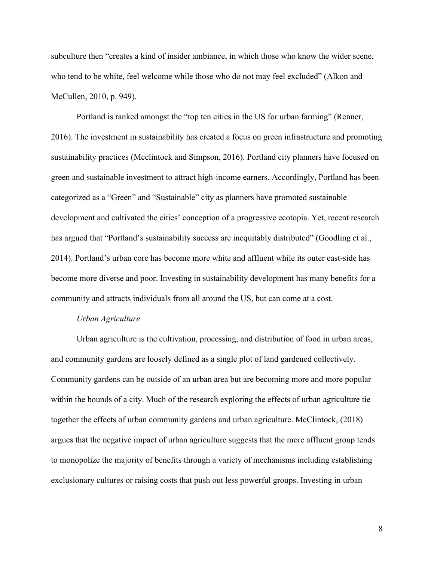subculture then "creates a kind of insider ambiance, in which those who know the wider scene, who tend to be white, feel welcome while those who do not may feel excluded" (Alkon and McCullen, 2010, p. 949).

Portland is ranked amongst the "top ten cities in the US for urban farming" (Renner, 2016). The investment in sustainability has created a focus on green infrastructure and promoting sustainability practices (Mcclintock and Simpson, 2016). Portland city planners have focused on green and sustainable investment to attract high-income earners. Accordingly, Portland has been categorized as a "Green" and "Sustainable" city as planners have promoted sustainable development and cultivated the cities' conception of a progressive ecotopia. Yet, recent research has argued that "Portland's sustainability success are inequitably distributed" (Goodling et al., 2014). Portland's urban core has become more white and affluent while its outer east-side has become more diverse and poor. Investing in sustainability development has many benefits for a community and attracts individuals from all around the US, but can come at a cost.

#### *Urban Agriculture*

<span id="page-8-0"></span>Urban agriculture is the cultivation, processing, and distribution of food in urban areas, and community gardens are loosely defined as a single plot of land gardened collectively. Community gardens can be outside of an urban area but are becoming more and more popular within the bounds of a city. Much of the research exploring the effects of urban agriculture tie together the effects of urban community gardens and urban agriculture. McClintock, (2018) argues that the negative impact of urban agriculture suggests that the more affluent group tends to monopolize the majority of benefits through a variety of mechanisms including establishing exclusionary cultures or raising costs that push out less powerful groups. Investing in urban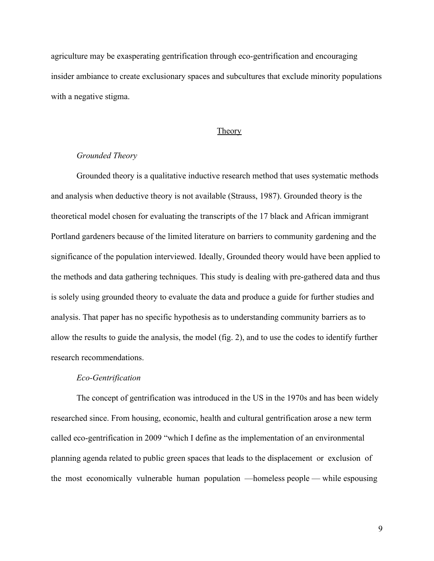agriculture may be exasperating gentrification through eco-gentrification and encouraging insider ambiance to create exclusionary spaces and subcultures that exclude minority populations with a negative stigma.

#### **Theory**

### <span id="page-9-0"></span>*Grounded Theory*

<span id="page-9-1"></span>Grounded theory is a qualitative inductive research method that uses systematic methods and analysis when deductive theory is not available (Strauss, 1987). Grounded theory is the theoretical model chosen for evaluating the transcripts of the 17 black and African immigrant Portland gardeners because of the limited literature on barriers to community gardening and the significance of the population interviewed. Ideally, Grounded theory would have been applied to the methods and data gathering techniques. This study is dealing with pre-gathered data and thus is solely using grounded theory to evaluate the data and produce a guide for further studies and analysis. That paper has no specific hypothesis as to understanding community barriers as to allow the results to guide the analysis, the model (fig. 2), and to use the codes to identify further research recommendations.

#### *Eco-Gentrification*

<span id="page-9-2"></span>The concept of gentrification was introduced in the US in the 1970s and has been widely researched since. From housing, economic, health and cultural gentrification arose a new term called eco-gentrification in 2009 "which I define as the implementation of an environmental planning agenda related to public green spaces that leads to the displacement or exclusion of the most economically vulnerable human population —homeless people — while espousing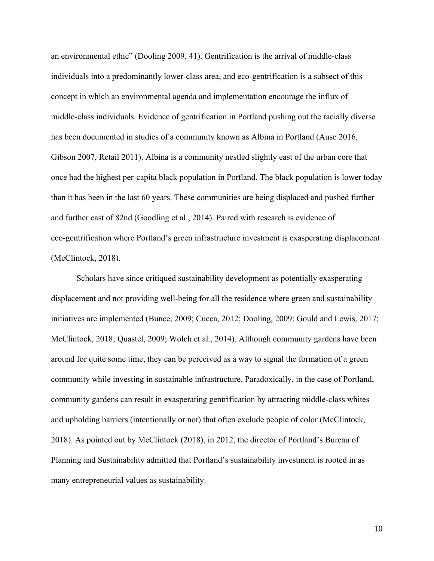an environmental ethic" (Dooling 2009, 41). Gentrification is the arrival of middle-class individuals into a predominantly lower-class area, and eco-gentrification is a subsect of this concept in which an environmental agenda and implementation encourage the influx of middle-class individuals. Evidence of gentrification in Portland pushing out the racially diverse has been documented in studies of a community known as Albina in Portland (Ause 2016, Gibson 2007, Retail 2011). Albina is a community nestled slightly east of the urban core that once had the highest per-capita black population in Portland. The black population is lower today than it has been in the last 60 years. These communities are being displaced and pushed further and further east of 82nd (Goodling et al., 2014). Paired with research is evidence of eco-gentrification where Portland's green infrastructure investment is exasperating displacement (McClintock, 2018).

Scholars have since critiqued sustainability development as potentially exasperating displacement and not providing well-being for all the residence where green and sustainability initiatives are implemented (Bunce, 2009; Cucca, 2012; Dooling, 2009; Gould and Lewis, 2017; McClintock, 2018; Quastel, 2009; Wolch et al., 2014). Although community gardens have been around for quite some time, they can be perceived as a way to signal the formation of a green community while investing in sustainable infrastructure. Paradoxically, in the case of Portland, community gardens can result in exasperating gentrification by attracting middle-class whites and upholding barriers (intentionally or not) that often exclude people of color (McClintock, 2018). As pointed out by McClintock (2018), in 2012, the director of Portland's Bureau of Planning and Sustainability admitted that Portland's sustainability investment is rooted in as many entrepreneurial values as sustainability.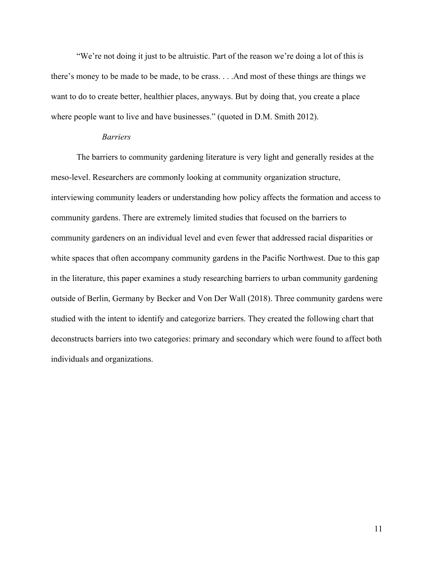"We're not doing it just to be altruistic. Part of the reason we're doing a lot of this is there's money to be made to be made, to be crass. . . .And most of these things are things we want to do to create better, healthier places, anyways. But by doing that, you create a place where people want to live and have businesses." (quoted in D.M. Smith 2012).

#### *Barriers*

<span id="page-11-0"></span>The barriers to community gardening literature is very light and generally resides at the meso-level. Researchers are commonly looking at community organization structure, interviewing community leaders or understanding how policy affects the formation and access to community gardens. There are extremely limited studies that focused on the barriers to community gardeners on an individual level and even fewer that addressed racial disparities or white spaces that often accompany community gardens in the Pacific Northwest. Due to this gap in the literature, this paper examines a study researching barriers to urban community gardening outside of Berlin, Germany by Becker and Von Der Wall (2018). Three community gardens were studied with the intent to identify and categorize barriers. They created the following chart that deconstructs barriers into two categories: primary and secondary which were found to affect both individuals and organizations.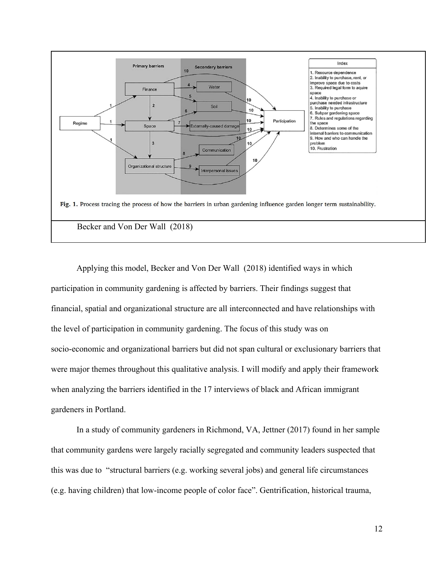

Applying this model, Becker and Von Der Wall (2018) identified ways in which participation in community gardening is affected by barriers. Their findings suggest that financial, spatial and organizational structure are all interconnected and have relationships with the level of participation in community gardening. The focus of this study was on socio-economic and organizational barriers but did not span cultural or exclusionary barriers that were major themes throughout this qualitative analysis. I will modify and apply their framework when analyzing the barriers identified in the 17 interviews of black and African immigrant gardeners in Portland.

In a study of community gardeners in Richmond, VA, Jettner (2017) found in her sample that community gardens were largely racially segregated and community leaders suspected that this was due to "structural barriers (e.g. working several jobs) and general life circumstances (e.g. having children) that low-income people of color face". Gentrification, historical trauma,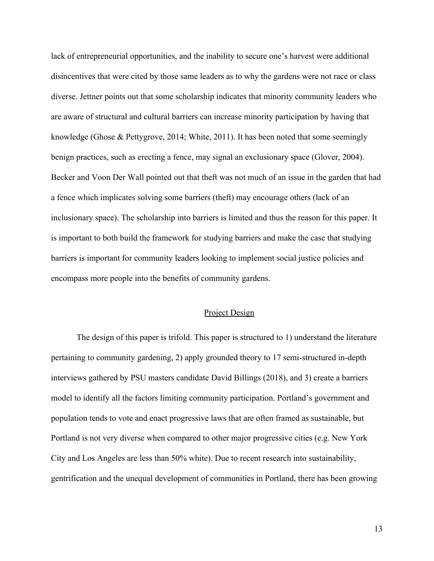lack of entrepreneurial opportunities, and the inability to secure one's harvest were additional disincentives that were cited by those same leaders as to why the gardens were not race or class diverse. Jettner points out that some scholarship indicates that minority community leaders who are aware of structural and cultural barriers can increase minority participation by having that knowledge (Ghose & Pettygrove, 2014; White, 2011). It has been noted that some seemingly benign practices, such as erecting a fence, may signal an exclusionary space (Glover, 2004). Becker and Voon Der Wall pointed out that theft was not much of an issue in the garden that had a fence which implicates solving some barriers (theft) may encourage others (lack of an inclusionary space). The scholarship into barriers is limited and thus the reason for this paper. It is important to both build the framework for studying barriers and make the case that studying barriers is important for community leaders looking to implement social justice policies and encompass more people into the benefits of community gardens.

#### Project Design

<span id="page-13-0"></span>The design of this paper is trifold. This paper is structured to 1) understand the literature pertaining to community gardening, 2) apply grounded theory to 17 semi-structured in-depth interviews gathered by PSU masters candidate David Billings (2018), and 3) create a barriers model to identify all the factors limiting community participation. Portland's government and population tends to vote and enact progressive laws that are often framed as sustainable, but Portland is not very diverse when compared to other major progressive cities (e.g. New York City and Los Angeles are less than 50% white). Due to recent research into sustainability, gentrification and the unequal development of communities in Portland, there has been growing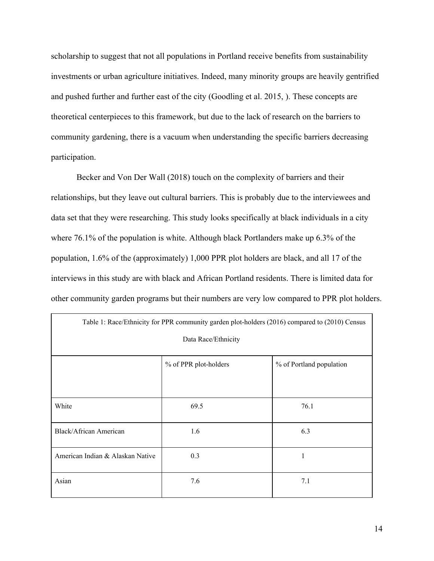scholarship to suggest that not all populations in Portland receive benefits from sustainability investments or urban agriculture initiatives. Indeed, many minority groups are heavily gentrified and pushed further and further east of the city (Goodling et al. 2015, ). These concepts are theoretical centerpieces to this framework, but due to the lack of research on the barriers to community gardening, there is a vacuum when understanding the specific barriers decreasing participation.

Becker and Von Der Wall (2018) touch on the complexity of barriers and their relationships, but they leave out cultural barriers. This is probably due to the interviewees and data set that they were researching. This study looks specifically at black individuals in a city where 76.1% of the population is white. Although black Portlanders make up 6.3% of the population, 1.6% of the (approximately) 1,000 PPR plot holders are black, and all 17 of the interviews in this study are with black and African Portland residents. There is limited data for other community garden programs but their numbers are very low compared to PPR plot holders.

| Table 1: Race/Ethnicity for PPR community garden plot-holders (2016) compared to (2010) Census |                       |                          |  |
|------------------------------------------------------------------------------------------------|-----------------------|--------------------------|--|
| Data Race/Ethnicity                                                                            |                       |                          |  |
|                                                                                                |                       |                          |  |
|                                                                                                | % of PPR plot-holders | % of Portland population |  |
|                                                                                                |                       |                          |  |
| White                                                                                          | 69.5                  | 76.1                     |  |
| <b>Black/African American</b>                                                                  | 1.6                   | 6.3                      |  |
| American Indian & Alaskan Native                                                               | 0.3                   | 1                        |  |
| Asian                                                                                          | 7.6                   | 7.1                      |  |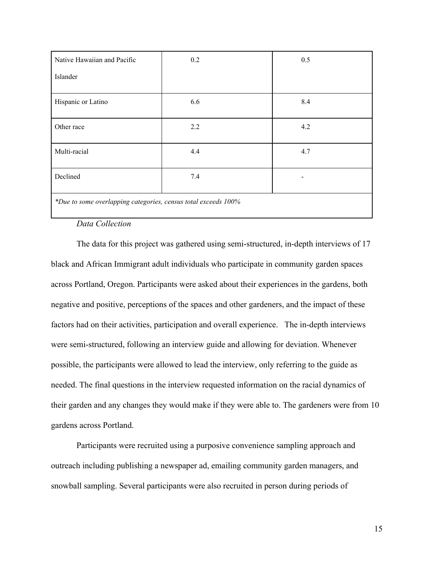| Native Hawaiian and Pacific                                    | 0.2 | 0.5 |  |
|----------------------------------------------------------------|-----|-----|--|
| Islander                                                       |     |     |  |
| Hispanic or Latino                                             | 6.6 | 8.4 |  |
| Other race                                                     | 2.2 | 4.2 |  |
| Multi-racial                                                   | 4.4 | 4.7 |  |
| Declined                                                       | 7.4 | -   |  |
| *Due to some overlapping categories, census total exceeds 100% |     |     |  |

# *Data Collection*

<span id="page-15-0"></span>The data for this project was gathered using semi-structured, in-depth interviews of 17 black and African Immigrant adult individuals who participate in community garden spaces across Portland, Oregon. Participants were asked about their experiences in the gardens, both negative and positive, perceptions of the spaces and other gardeners, and the impact of these factors had on their activities, participation and overall experience. The in-depth interviews were semi-structured, following an interview guide and allowing for deviation. Whenever possible, the participants were allowed to lead the interview, only referring to the guide as needed. The final questions in the interview requested information on the racial dynamics of their garden and any changes they would make if they were able to. The gardeners were from 10 gardens across Portland.

Participants were recruited using a purposive convenience sampling approach and outreach including publishing a newspaper ad, emailing community garden managers, and snowball sampling. Several participants were also recruited in person during periods of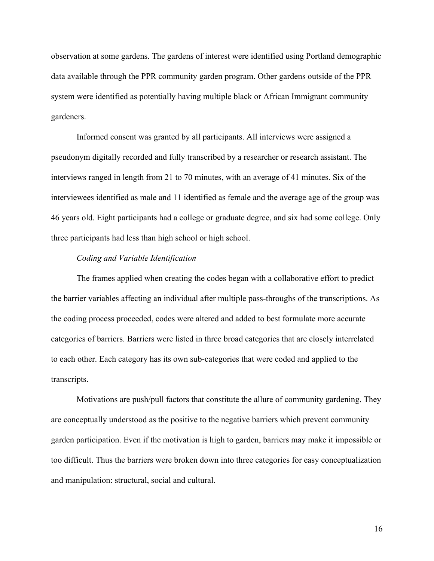observation at some gardens. The gardens of interest were identified using Portland demographic data available through the PPR community garden program. Other gardens outside of the PPR system were identified as potentially having multiple black or African Immigrant community gardeners.

Informed consent was granted by all participants. All interviews were assigned a pseudonym digitally recorded and fully transcribed by a researcher or research assistant. The interviews ranged in length from 21 to 70 minutes, with an average of 41 minutes. Six of the interviewees identified as male and 11 identified as female and the average age of the group was 46 years old. Eight participants had a college or graduate degree, and six had some college. Only three participants had less than high school or high school.

#### *Coding and Variable Identification*

<span id="page-16-0"></span>The frames applied when creating the codes began with a collaborative effort to predict the barrier variables affecting an individual after multiple pass-throughs of the transcriptions. As the coding process proceeded, codes were altered and added to best formulate more accurate categories of barriers. Barriers were listed in three broad categories that are closely interrelated to each other. Each category has its own sub-categories that were coded and applied to the transcripts.

Motivations are push/pull factors that constitute the allure of community gardening. They are conceptually understood as the positive to the negative barriers which prevent community garden participation. Even if the motivation is high to garden, barriers may make it impossible or too difficult. Thus the barriers were broken down into three categories for easy conceptualization and manipulation: structural, social and cultural.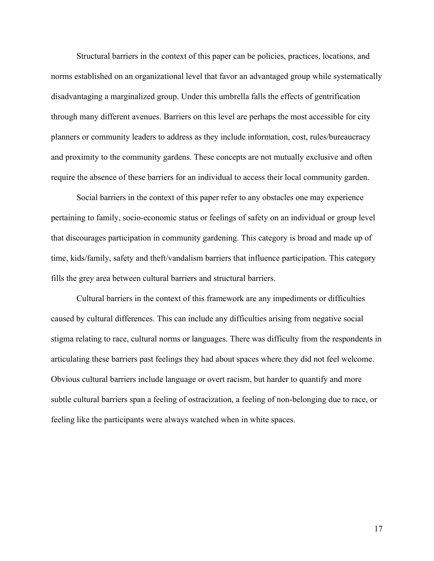Structural barriers in the context of this paper can be policies, practices, locations, and norms established on an organizational level that favor an advantaged group while systematically disadvantaging a marginalized group. Under this umbrella falls the effects of gentrification through many different avenues. Barriers on this level are perhaps the most accessible for city planners or community leaders to address as they include information, cost, rules/bureaucracy and proximity to the community gardens. These concepts are not mutually exclusive and often require the absence of these barriers for an individual to access their local community garden.

Social barriers in the context of this paper refer to any obstacles one may experience pertaining to family, socio-economic status or feelings of safety on an individual or group level that discourages participation in community gardening. This category is broad and made up of time, kids/family, safety and theft/vandalism barriers that influence participation. This category fills the grey area between cultural barriers and structural barriers.

Cultural barriers in the context of this framework are any impediments or difficulties caused by cultural differences. This can include any difficulties arising from negative social stigma relating to race, cultural norms or languages. There was difficulty from the respondents in articulating these barriers past feelings they had about spaces where they did not feel welcome. Obvious cultural barriers include language or overt racism, but harder to quantify and more subtle cultural barriers span a feeling of ostracization, a feeling of non-belonging due to race, or feeling like the participants were always watched when in white spaces.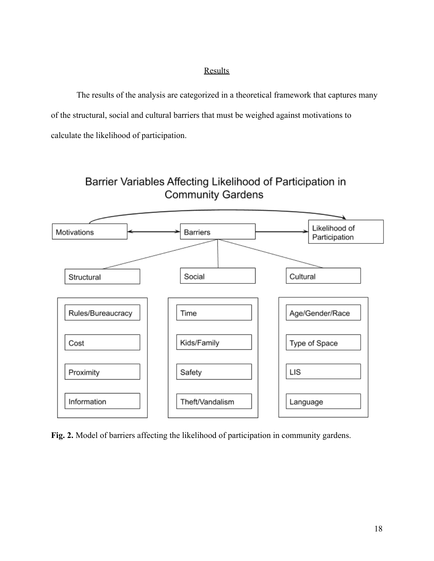# Results

<span id="page-18-0"></span>The results of the analysis are categorized in a theoretical framework that captures many of the structural, social and cultural barriers that must be weighed against motivations to calculate the likelihood of participation.



Barrier Variables Affecting Likelihood of Participation in **Community Gardens** 

**Fig. 2.** Model of barriers affecting the likelihood of participation in community gardens.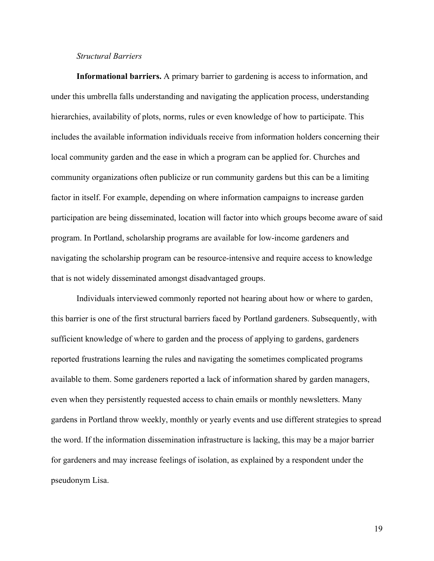#### *Structural Barriers*

<span id="page-19-0"></span>**Informational barriers.** A primary barrier to gardening is access to information, and under this umbrella falls understanding and navigating the application process, understanding hierarchies, availability of plots, norms, rules or even knowledge of how to participate. This includes the available information individuals receive from information holders concerning their local community garden and the ease in which a program can be applied for. Churches and community organizations often publicize or run community gardens but this can be a limiting factor in itself. For example, depending on where information campaigns to increase garden participation are being disseminated, location will factor into which groups become aware of said program. In Portland, scholarship programs are available for low-income gardeners and navigating the scholarship program can be resource-intensive and require access to knowledge that is not widely disseminated amongst disadvantaged groups.

Individuals interviewed commonly reported not hearing about how or where to garden, this barrier is one of the first structural barriers faced by Portland gardeners. Subsequently, with sufficient knowledge of where to garden and the process of applying to gardens, gardeners reported frustrations learning the rules and navigating the sometimes complicated programs available to them. Some gardeners reported a lack of information shared by garden managers, even when they persistently requested access to chain emails or monthly newsletters. Many gardens in Portland throw weekly, monthly or yearly events and use different strategies to spread the word. If the information dissemination infrastructure is lacking, this may be a major barrier for gardeners and may increase feelings of isolation, as explained by a respondent under the pseudonym Lisa.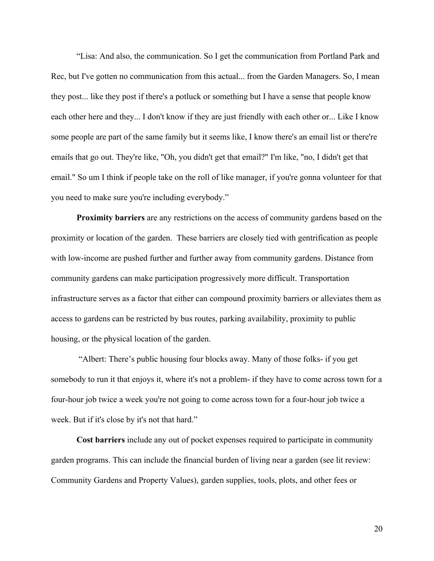"Lisa: And also, the communication. So I get the communication from Portland Park and Rec, but I've gotten no communication from this actual... from the Garden Managers. So, I mean they post... like they post if there's a potluck or something but I have a sense that people know each other here and they... I don't know if they are just friendly with each other or... Like I know some people are part of the same family but it seems like, I know there's an email list or there're emails that go out. They're like, "Oh, you didn't get that email?" I'm like, "no, I didn't get that email." So um I think if people take on the roll of like manager, if you're gonna volunteer for that you need to make sure you're including everybody."

**Proximity barriers** are any restrictions on the access of community gardens based on the proximity or location of the garden. These barriers are closely tied with gentrification as people with low-income are pushed further and further away from community gardens. Distance from community gardens can make participation progressively more difficult. Transportation infrastructure serves as a factor that either can compound proximity barriers or alleviates them as access to gardens can be restricted by bus routes, parking availability, proximity to public housing, or the physical location of the garden.

 "Albert: There's public housing four blocks away. Many of those folks- if you get somebody to run it that enjoys it, where it's not a problem- if they have to come across town for a four-hour job twice a week you're not going to come across town for a four-hour job twice a week. But if it's close by it's not that hard."

**Cost barriers** include any out of pocket expenses required to participate in community garden programs. This can include the financial burden of living near a garden (see lit review: Community Gardens and Property Values), garden supplies, tools, plots, and other fees or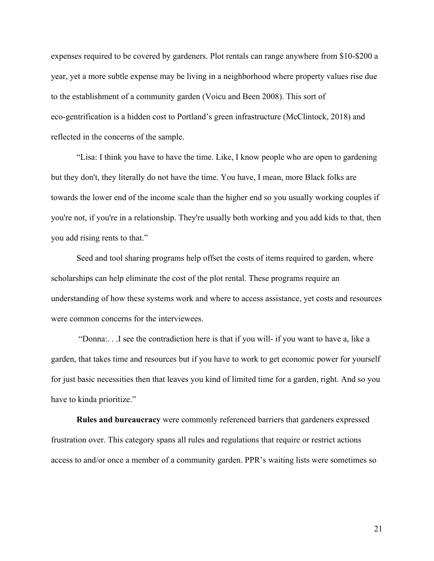expenses required to be covered by gardeners. Plot rentals can range anywhere from \$10-\$200 a year, yet a more subtle expense may be living in a neighborhood where property values rise due to the establishment of a community garden (Voicu and Been 2008). This sort of eco-gentrification is a hidden cost to Portland's green infrastructure (McClintock, 2018) and reflected in the concerns of the sample.

"Lisa: I think you have to have the time. Like, I know people who are open to gardening but they don't, they literally do not have the time. You have, I mean, more Black folks are towards the lower end of the income scale than the higher end so you usually working couples if you're not, if you're in a relationship. They're usually both working and you add kids to that, then you add rising rents to that."

Seed and tool sharing programs help offset the costs of items required to garden, where scholarships can help eliminate the cost of the plot rental. These programs require an understanding of how these systems work and where to access assistance, yet costs and resources were common concerns for the interviewees.

 "Donna:. . .I see the contradiction here is that if you will- if you want to have a, like a garden, that takes time and resources but if you have to work to get economic power for yourself for just basic necessities then that leaves you kind of limited time for a garden, right. And so you have to kinda prioritize."

**Rules and bureaucracy** were commonly referenced barriers that gardeners expressed frustration over. This category spans all rules and regulations that require or restrict actions access to and/or once a member of a community garden. PPR's waiting lists were sometimes so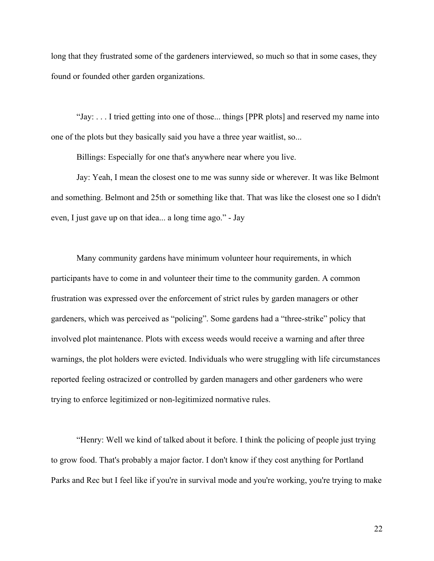long that they frustrated some of the gardeners interviewed, so much so that in some cases, they found or founded other garden organizations.

"Jay: . . . I tried getting into one of those... things [PPR plots] and reserved my name into one of the plots but they basically said you have a three year waitlist, so...

Billings: Especially for one that's anywhere near where you live.

Jay: Yeah, I mean the closest one to me was sunny side or wherever. It was like Belmont and something. Belmont and 25th or something like that. That was like the closest one so I didn't even, I just gave up on that idea... a long time ago." - Jay

Many community gardens have minimum volunteer hour requirements, in which participants have to come in and volunteer their time to the community garden. A common frustration was expressed over the enforcement of strict rules by garden managers or other gardeners, which was perceived as "policing". Some gardens had a "three-strike" policy that involved plot maintenance. Plots with excess weeds would receive a warning and after three warnings, the plot holders were evicted. Individuals who were struggling with life circumstances reported feeling ostracized or controlled by garden managers and other gardeners who were trying to enforce legitimized or non-legitimized normative rules.

"Henry: Well we kind of talked about it before. I think the policing of people just trying to grow food. That's probably a major factor. I don't know if they cost anything for Portland Parks and Rec but I feel like if you're in survival mode and you're working, you're trying to make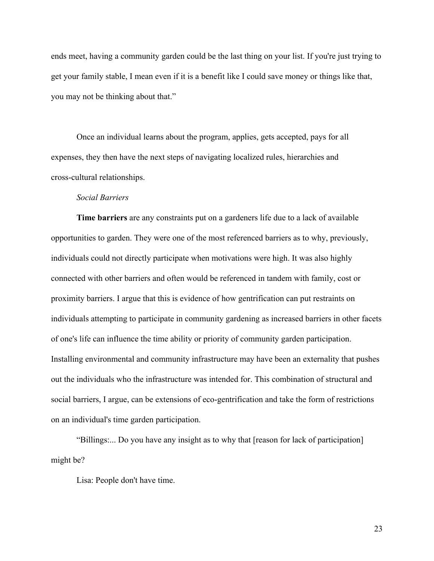ends meet, having a community garden could be the last thing on your list. If you're just trying to get your family stable, I mean even if it is a benefit like I could save money or things like that, you may not be thinking about that."

Once an individual learns about the program, applies, gets accepted, pays for all expenses, they then have the next steps of navigating localized rules, hierarchies and cross-cultural relationships.

#### *Social Barriers*

<span id="page-23-0"></span>**Time barriers** are any constraints put on a gardeners life due to a lack of available opportunities to garden. They were one of the most referenced barriers as to why, previously, individuals could not directly participate when motivations were high. It was also highly connected with other barriers and often would be referenced in tandem with family, cost or proximity barriers. I argue that this is evidence of how gentrification can put restraints on individuals attempting to participate in community gardening as increased barriers in other facets of one's life can influence the time ability or priority of community garden participation. Installing environmental and community infrastructure may have been an externality that pushes out the individuals who the infrastructure was intended for. This combination of structural and social barriers, I argue, can be extensions of eco-gentrification and take the form of restrictions on an individual's time garden participation.

"Billings:... Do you have any insight as to why that [reason for lack of participation] might be?

Lisa: People don't have time.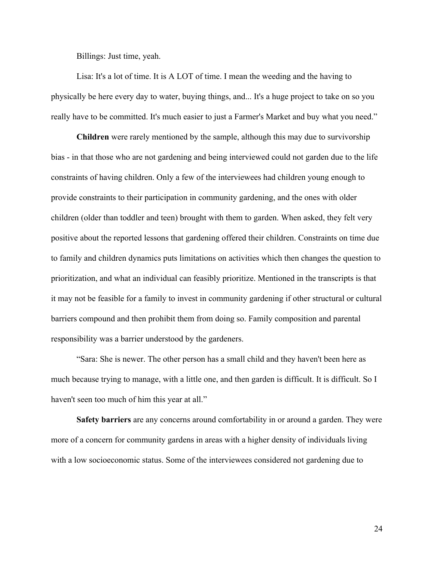Billings: Just time, yeah.

Lisa: It's a lot of time. It is A LOT of time. I mean the weeding and the having to physically be here every day to water, buying things, and... It's a huge project to take on so you really have to be committed. It's much easier to just a Farmer's Market and buy what you need."

**Children** were rarely mentioned by the sample, although this may due to survivorship bias - in that those who are not gardening and being interviewed could not garden due to the life constraints of having children. Only a few of the interviewees had children young enough to provide constraints to their participation in community gardening, and the ones with older children (older than toddler and teen) brought with them to garden. When asked, they felt very positive about the reported lessons that gardening offered their children. Constraints on time due to family and children dynamics puts limitations on activities which then changes the question to prioritization, and what an individual can feasibly prioritize. Mentioned in the transcripts is that it may not be feasible for a family to invest in community gardening if other structural or cultural barriers compound and then prohibit them from doing so. Family composition and parental responsibility was a barrier understood by the gardeners.

"Sara: She is newer. The other person has a small child and they haven't been here as much because trying to manage, with a little one, and then garden is difficult. It is difficult. So I haven't seen too much of him this year at all."

**Safety barriers** are any concerns around comfortability in or around a garden. They were more of a concern for community gardens in areas with a higher density of individuals living with a low socioeconomic status. Some of the interviewees considered not gardening due to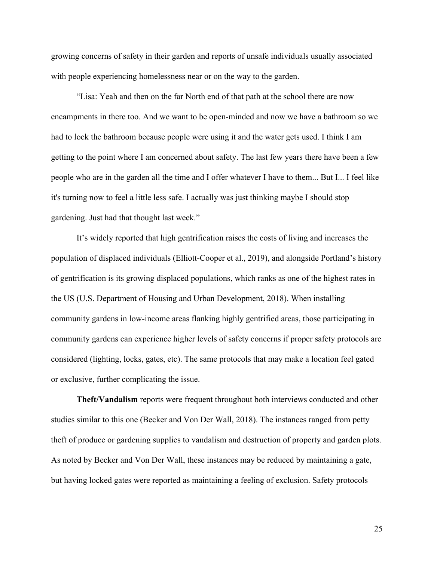growing concerns of safety in their garden and reports of unsafe individuals usually associated with people experiencing homelessness near or on the way to the garden.

"Lisa: Yeah and then on the far North end of that path at the school there are now encampments in there too. And we want to be open-minded and now we have a bathroom so we had to lock the bathroom because people were using it and the water gets used. I think I am getting to the point where I am concerned about safety. The last few years there have been a few people who are in the garden all the time and I offer whatever I have to them... But I... I feel like it's turning now to feel a little less safe. I actually was just thinking maybe I should stop gardening. Just had that thought last week."

It's widely reported that high gentrification raises the costs of living and increases the population of displaced individuals (Elliott-Cooper et al., 2019), and alongside Portland's history of gentrification is its growing displaced populations, which ranks as one of the highest rates in the US (U.S. Department of Housing and Urban Development, 2018). When installing community gardens in low-income areas flanking highly gentrified areas, those participating in community gardens can experience higher levels of safety concerns if proper safety protocols are considered (lighting, locks, gates, etc). The same protocols that may make a location feel gated or exclusive, further complicating the issue.

**Theft/Vandalism** reports were frequent throughout both interviews conducted and other studies similar to this one (Becker and Von Der Wall, 2018). The instances ranged from petty theft of produce or gardening supplies to vandalism and destruction of property and garden plots. As noted by Becker and Von Der Wall, these instances may be reduced by maintaining a gate, but having locked gates were reported as maintaining a feeling of exclusion. Safety protocols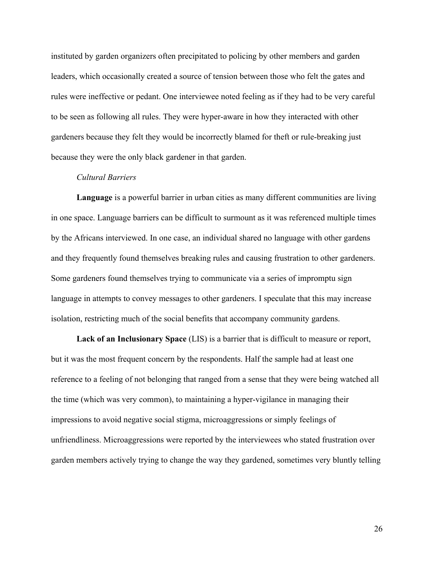instituted by garden organizers often precipitated to policing by other members and garden leaders, which occasionally created a source of tension between those who felt the gates and rules were ineffective or pedant. One interviewee noted feeling as if they had to be very careful to be seen as following all rules. They were hyper-aware in how they interacted with other gardeners because they felt they would be incorrectly blamed for theft or rule-breaking just because they were the only black gardener in that garden.

#### *Cultural Barriers*

<span id="page-26-0"></span>**Language** is a powerful barrier in urban cities as many different communities are living in one space. Language barriers can be difficult to surmount as it was referenced multiple times by the Africans interviewed. In one case, an individual shared no language with other gardens and they frequently found themselves breaking rules and causing frustration to other gardeners. Some gardeners found themselves trying to communicate via a series of impromptu sign language in attempts to convey messages to other gardeners. I speculate that this may increase isolation, restricting much of the social benefits that accompany community gardens.

**Lack of an Inclusionary Space** (LIS) is a barrier that is difficult to measure or report, but it was the most frequent concern by the respondents. Half the sample had at least one reference to a feeling of not belonging that ranged from a sense that they were being watched all the time (which was very common), to maintaining a hyper-vigilance in managing their impressions to avoid negative social stigma, microaggressions or simply feelings of unfriendliness. Microaggressions were reported by the interviewees who stated frustration over garden members actively trying to change the way they gardened, sometimes very bluntly telling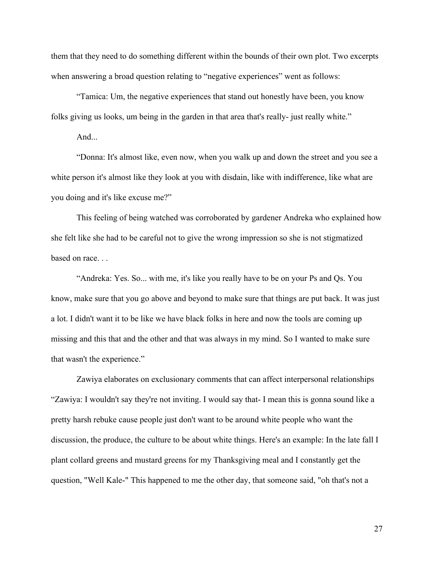them that they need to do something different within the bounds of their own plot. Two excerpts when answering a broad question relating to "negative experiences" went as follows:

"Tamica: Um, the negative experiences that stand out honestly have been, you know folks giving us looks, um being in the garden in that area that's really- just really white."

And...

"Donna: It's almost like, even now, when you walk up and down the street and you see a white person it's almost like they look at you with disdain, like with indifference, like what are you doing and it's like excuse me?"

This feeling of being watched was corroborated by gardener Andreka who explained how she felt like she had to be careful not to give the wrong impression so she is not stigmatized based on race. . .

"Andreka: Yes. So... with me, it's like you really have to be on your Ps and Qs. You know, make sure that you go above and beyond to make sure that things are put back. It was just a lot. I didn't want it to be like we have black folks in here and now the tools are coming up missing and this that and the other and that was always in my mind. So I wanted to make sure that wasn't the experience."

Zawiya elaborates on exclusionary comments that can affect interpersonal relationships "Zawiya: I wouldn't say they're not inviting. I would say that- I mean this is gonna sound like a pretty harsh rebuke cause people just don't want to be around white people who want the discussion, the produce, the culture to be about white things. Here's an example: In the late fall I plant collard greens and mustard greens for my Thanksgiving meal and I constantly get the question, "Well Kale-" This happened to me the other day, that someone said, "oh that's not a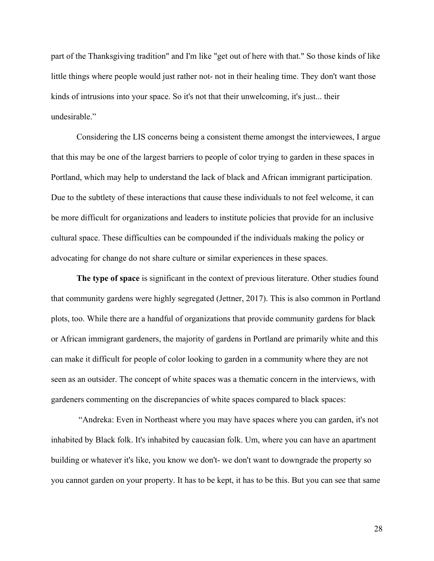part of the Thanksgiving tradition" and I'm like "get out of here with that." So those kinds of like little things where people would just rather not- not in their healing time. They don't want those kinds of intrusions into your space. So it's not that their unwelcoming, it's just... their undesirable."

Considering the LIS concerns being a consistent theme amongst the interviewees, I argue that this may be one of the largest barriers to people of color trying to garden in these spaces in Portland, which may help to understand the lack of black and African immigrant participation. Due to the subtlety of these interactions that cause these individuals to not feel welcome, it can be more difficult for organizations and leaders to institute policies that provide for an inclusive cultural space. These difficulties can be compounded if the individuals making the policy or advocating for change do not share culture or similar experiences in these spaces.

**The type of space** is significant in the context of previous literature. Other studies found that community gardens were highly segregated (Jettner, 2017). This is also common in Portland plots, too. While there are a handful of organizations that provide community gardens for black or African immigrant gardeners, the majority of gardens in Portland are primarily white and this can make it difficult for people of color looking to garden in a community where they are not seen as an outsider. The concept of white spaces was a thematic concern in the interviews, with gardeners commenting on the discrepancies of white spaces compared to black spaces:

 "Andreka: Even in Northeast where you may have spaces where you can garden, it's not inhabited by Black folk. It's inhabited by caucasian folk. Um, where you can have an apartment building or whatever it's like, you know we don't- we don't want to downgrade the property so you cannot garden on your property. It has to be kept, it has to be this. But you can see that same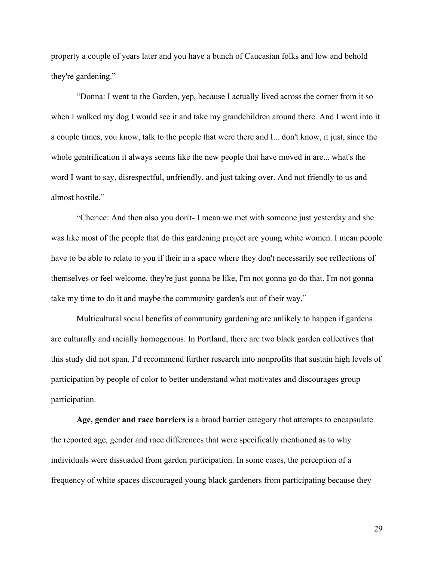property a couple of years later and you have a bunch of Caucasian folks and low and behold they're gardening."

"Donna: I went to the Garden, yep, because I actually lived across the corner from it so when I walked my dog I would see it and take my grandchildren around there. And I went into it a couple times, you know, talk to the people that were there and I... don't know, it just, since the whole gentrification it always seems like the new people that have moved in are... what's the word I want to say, disrespectful, unfriendly, and just taking over. And not friendly to us and almost hostile."

"Cherice: And then also you don't- I mean we met with someone just yesterday and she was like most of the people that do this gardening project are young white women. I mean people have to be able to relate to you if their in a space where they don't necessarily see reflections of themselves or feel welcome, they're just gonna be like, I'm not gonna go do that. I'm not gonna take my time to do it and maybe the community garden's out of their way."

Multicultural social benefits of community gardening are unlikely to happen if gardens are culturally and racially homogenous. In Portland, there are two black garden collectives that this study did not span. I'd recommend further research into nonprofits that sustain high levels of participation by people of color to better understand what motivates and discourages group participation.

**Age, gender and race barriers** is a broad barrier category that attempts to encapsulate the reported age, gender and race differences that were specifically mentioned as to why individuals were dissuaded from garden participation. In some cases, the perception of a frequency of white spaces discouraged young black gardeners from participating because they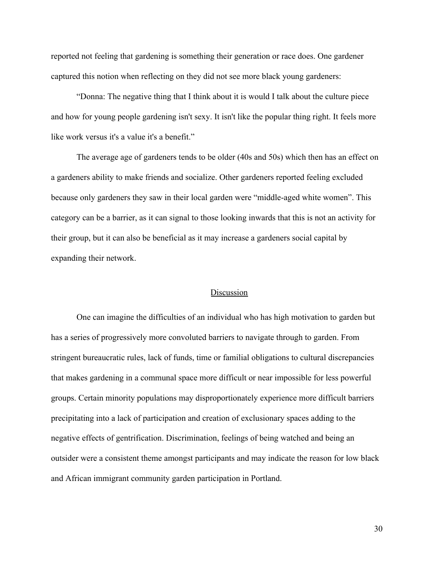reported not feeling that gardening is something their generation or race does. One gardener captured this notion when reflecting on they did not see more black young gardeners:

"Donna: The negative thing that I think about it is would I talk about the culture piece and how for young people gardening isn't sexy. It isn't like the popular thing right. It feels more like work versus it's a value it's a benefit."

The average age of gardeners tends to be older (40s and 50s) which then has an effect on a gardeners ability to make friends and socialize. Other gardeners reported feeling excluded because only gardeners they saw in their local garden were "middle-aged white women". This category can be a barrier, as it can signal to those looking inwards that this is not an activity for their group, but it can also be beneficial as it may increase a gardeners social capital by expanding their network.

#### Discussion

<span id="page-30-0"></span>One can imagine the difficulties of an individual who has high motivation to garden but has a series of progressively more convoluted barriers to navigate through to garden. From stringent bureaucratic rules, lack of funds, time or familial obligations to cultural discrepancies that makes gardening in a communal space more difficult or near impossible for less powerful groups. Certain minority populations may disproportionately experience more difficult barriers precipitating into a lack of participation and creation of exclusionary spaces adding to the negative effects of gentrification. Discrimination, feelings of being watched and being an outsider were a consistent theme amongst participants and may indicate the reason for low black and African immigrant community garden participation in Portland.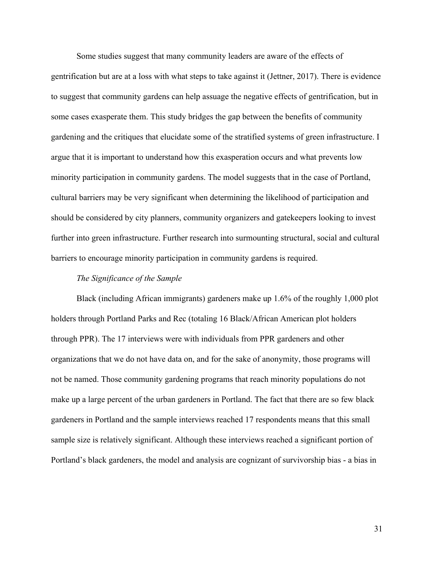Some studies suggest that many community leaders are aware of the effects of gentrification but are at a loss with what steps to take against it (Jettner, 2017). There is evidence to suggest that community gardens can help assuage the negative effects of gentrification, but in some cases exasperate them. This study bridges the gap between the benefits of community gardening and the critiques that elucidate some of the stratified systems of green infrastructure. I argue that it is important to understand how this exasperation occurs and what prevents low minority participation in community gardens. The model suggests that in the case of Portland, cultural barriers may be very significant when determining the likelihood of participation and should be considered by city planners, community organizers and gatekeepers looking to invest further into green infrastructure. Further research into surmounting structural, social and cultural barriers to encourage minority participation in community gardens is required.

#### *The Significance of the Sample*

<span id="page-31-0"></span>Black (including African immigrants) gardeners make up 1.6% of the roughly 1,000 plot holders through Portland Parks and Rec (totaling 16 Black/African American plot holders through PPR). The 17 interviews were with individuals from PPR gardeners and other organizations that we do not have data on, and for the sake of anonymity, those programs will not be named. Those community gardening programs that reach minority populations do not make up a large percent of the urban gardeners in Portland. The fact that there are so few black gardeners in Portland and the sample interviews reached 17 respondents means that this small sample size is relatively significant. Although these interviews reached a significant portion of Portland's black gardeners, the model and analysis are cognizant of survivorship bias - a bias in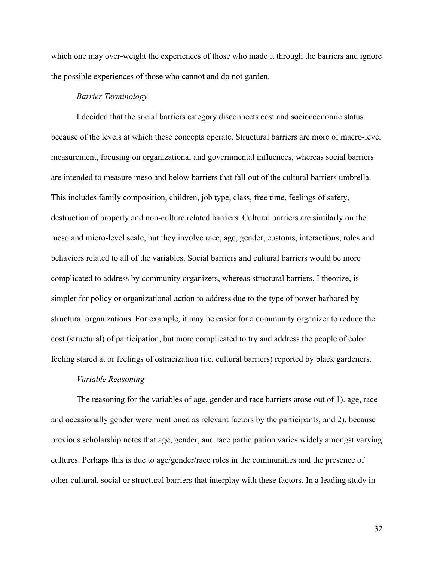which one may over-weight the experiences of those who made it through the barriers and ignore the possible experiences of those who cannot and do not garden.

#### *Barrier Terminology*

<span id="page-32-0"></span>I decided that the social barriers category disconnects cost and socioeconomic status because of the levels at which these concepts operate. Structural barriers are more of macro-level measurement, focusing on organizational and governmental influences, whereas social barriers are intended to measure meso and below barriers that fall out of the cultural barriers umbrella. This includes family composition, children, job type, class, free time, feelings of safety, destruction of property and non-culture related barriers. Cultural barriers are similarly on the meso and micro-level scale, but they involve race, age, gender, customs, interactions, roles and behaviors related to all of the variables. Social barriers and cultural barriers would be more complicated to address by community organizers, whereas structural barriers, I theorize, is simpler for policy or organizational action to address due to the type of power harbored by structural organizations. For example, it may be easier for a community organizer to reduce the cost (structural) of participation, but more complicated to try and address the people of color feeling stared at or feelings of ostracization (i.e. cultural barriers) reported by black gardeners.

#### *Variable Reasoning*

<span id="page-32-1"></span>The reasoning for the variables of age, gender and race barriers arose out of 1). age, race and occasionally gender were mentioned as relevant factors by the participants, and 2). because previous scholarship notes that age, gender, and race participation varies widely amongst varying cultures. Perhaps this is due to age/gender/race roles in the communities and the presence of other cultural, social or structural barriers that interplay with these factors. In a leading study in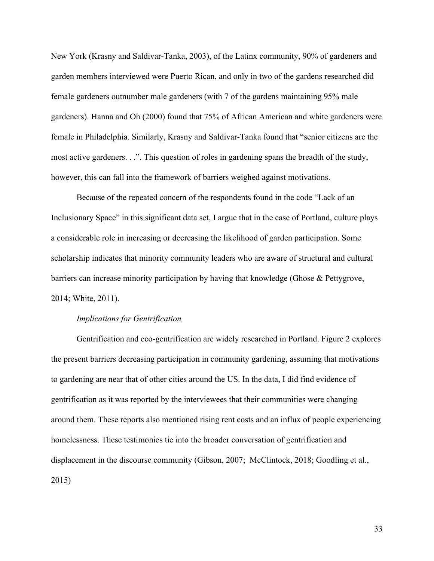New York (Krasny and Saldivar-Tanka, 2003), of the Latinx community, 90% of gardeners and garden members interviewed were Puerto Rican, and only in two of the gardens researched did female gardeners outnumber male gardeners (with 7 of the gardens maintaining 95% male gardeners). Hanna and Oh (2000) found that 75% of African American and white gardeners were female in Philadelphia. Similarly, Krasny and Saldivar-Tanka found that "senior citizens are the most active gardeners. . .". This question of roles in gardening spans the breadth of the study, however, this can fall into the framework of barriers weighed against motivations.

Because of the repeated concern of the respondents found in the code "Lack of an Inclusionary Space" in this significant data set, I argue that in the case of Portland, culture plays a considerable role in increasing or decreasing the likelihood of garden participation. Some scholarship indicates that minority community leaders who are aware of structural and cultural barriers can increase minority participation by having that knowledge (Ghose & Pettygrove, 2014; White, 2011).

#### *Implications for Gentrification*

<span id="page-33-0"></span>Gentrification and eco-gentrification are widely researched in Portland. Figure 2 explores the present barriers decreasing participation in community gardening, assuming that motivations to gardening are near that of other cities around the US. In the data, I did find evidence of gentrification as it was reported by the interviewees that their communities were changing around them. These reports also mentioned rising rent costs and an influx of people experiencing homelessness. These testimonies tie into the broader conversation of gentrification and displacement in the discourse community (Gibson, 2007; McClintock, 2018; Goodling et al., 2015)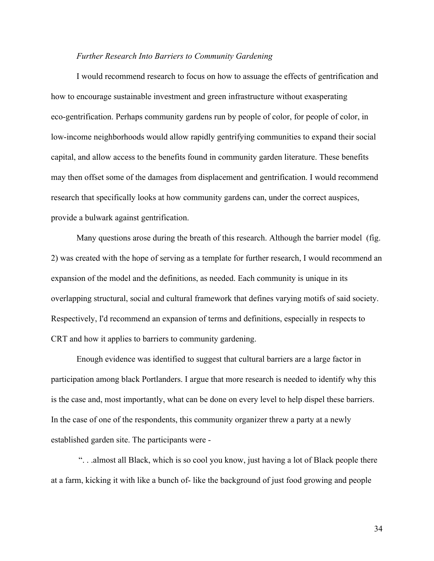#### *Further Research Into Barriers to Community Gardening*

<span id="page-34-0"></span>I would recommend research to focus on how to assuage the effects of gentrification and how to encourage sustainable investment and green infrastructure without exasperating eco-gentrification. Perhaps community gardens run by people of color, for people of color, in low-income neighborhoods would allow rapidly gentrifying communities to expand their social capital, and allow access to the benefits found in community garden literature. These benefits may then offset some of the damages from displacement and gentrification. I would recommend research that specifically looks at how community gardens can, under the correct auspices, provide a bulwark against gentrification.

Many questions arose during the breath of this research. Although the barrier model (fig. 2) was created with the hope of serving as a template for further research, I would recommend an expansion of the model and the definitions, as needed. Each community is unique in its overlapping structural, social and cultural framework that defines varying motifs of said society. Respectively, I'd recommend an expansion of terms and definitions, especially in respects to CRT and how it applies to barriers to community gardening.

Enough evidence was identified to suggest that cultural barriers are a large factor in participation among black Portlanders. I argue that more research is needed to identify why this is the case and, most importantly, what can be done on every level to help dispel these barriers. In the case of one of the respondents, this community organizer threw a party at a newly established garden site. The participants were -

 ". . .almost all Black, which is so cool you know, just having a lot of Black people there at a farm, kicking it with like a bunch of- like the background of just food growing and people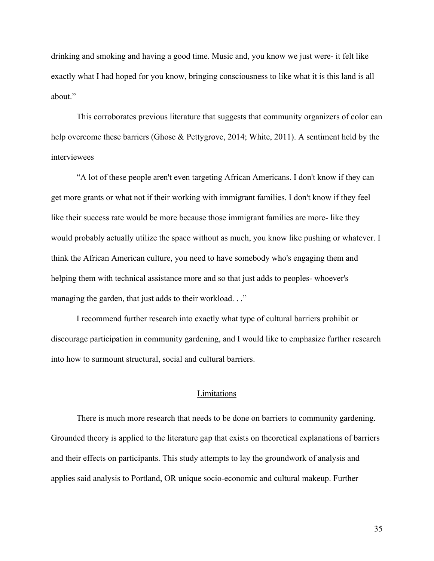drinking and smoking and having a good time. Music and, you know we just were- it felt like exactly what I had hoped for you know, bringing consciousness to like what it is this land is all about."

This corroborates previous literature that suggests that community organizers of color can help overcome these barriers (Ghose & Pettygrove, 2014; White, 2011). A sentiment held by the interviewees

"A lot of these people aren't even targeting African Americans. I don't know if they can get more grants or what not if their working with immigrant families. I don't know if they feel like their success rate would be more because those immigrant families are more- like they would probably actually utilize the space without as much, you know like pushing or whatever. I think the African American culture, you need to have somebody who's engaging them and helping them with technical assistance more and so that just adds to peoples- whoever's managing the garden, that just adds to their workload. . ."

I recommend further research into exactly what type of cultural barriers prohibit or discourage participation in community gardening, and I would like to emphasize further research into how to surmount structural, social and cultural barriers.

# Limitations

<span id="page-35-0"></span>There is much more research that needs to be done on barriers to community gardening. Grounded theory is applied to the literature gap that exists on theoretical explanations of barriers and their effects on participants. This study attempts to lay the groundwork of analysis and applies said analysis to Portland, OR unique socio-economic and cultural makeup. Further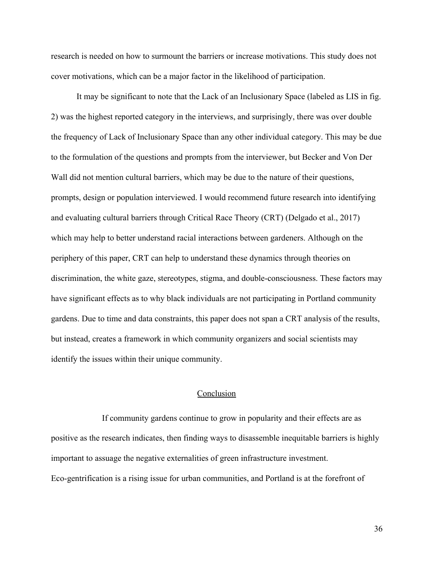research is needed on how to surmount the barriers or increase motivations. This study does not cover motivations, which can be a major factor in the likelihood of participation.

It may be significant to note that the Lack of an Inclusionary Space (labeled as LIS in fig. 2) was the highest reported category in the interviews, and surprisingly, there was over double the frequency of Lack of Inclusionary Space than any other individual category. This may be due to the formulation of the questions and prompts from the interviewer, but Becker and Von Der Wall did not mention cultural barriers, which may be due to the nature of their questions, prompts, design or population interviewed. I would recommend future research into identifying and evaluating cultural barriers through Critical Race Theory (CRT) (Delgado et al., 2017) which may help to better understand racial interactions between gardeners. Although on the periphery of this paper, CRT can help to understand these dynamics through theories on discrimination, the white gaze, stereotypes, stigma, and double-consciousness. These factors may have significant effects as to why black individuals are not participating in Portland community gardens. Due to time and data constraints, this paper does not span a CRT analysis of the results, but instead, creates a framework in which community organizers and social scientists may identify the issues within their unique community.

# Conclusion

<span id="page-36-0"></span>If community gardens continue to grow in popularity and their effects are as positive as the research indicates, then finding ways to disassemble inequitable barriers is highly important to assuage the negative externalities of green infrastructure investment. Eco-gentrification is a rising issue for urban communities, and Portland is at the forefront of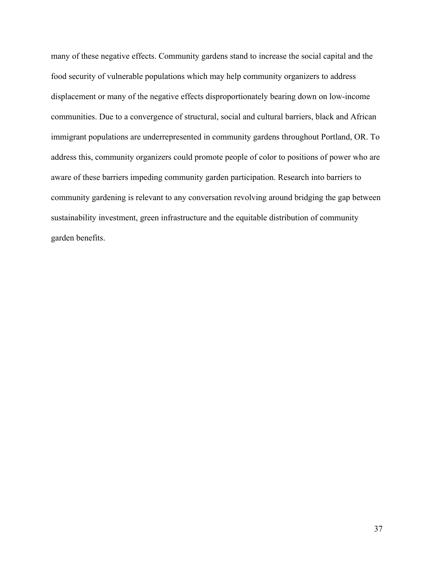many of these negative effects. Community gardens stand to increase the social capital and the food security of vulnerable populations which may help community organizers to address displacement or many of the negative effects disproportionately bearing down on low-income communities. Due to a convergence of structural, social and cultural barriers, black and African immigrant populations are underrepresented in community gardens throughout Portland, OR. To address this, community organizers could promote people of color to positions of power who are aware of these barriers impeding community garden participation. Research into barriers to community gardening is relevant to any conversation revolving around bridging the gap between sustainability investment, green infrastructure and the equitable distribution of community garden benefits.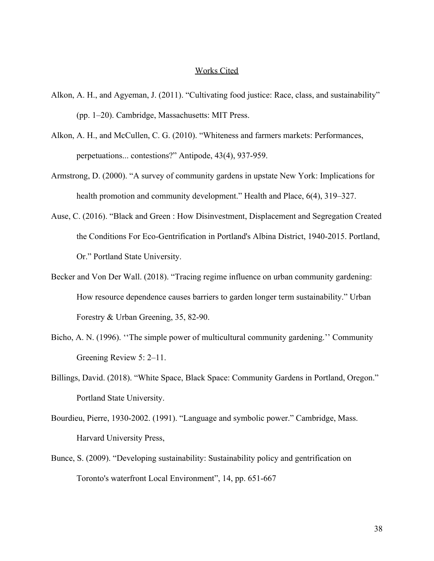#### Works Cited

- <span id="page-38-0"></span>Alkon, A. H., and Agyeman, J. (2011). "Cultivating food justice: Race, class, and sustainability" (pp. 1–20). Cambridge, Massachusetts: MIT Press.
- Alkon, A. H., and McCullen, C. G. (2010). "Whiteness and farmers markets: Performances, perpetuations... contestions?" Antipode, 43(4), 937-959.
- Armstrong, D. (2000). "A survey of community gardens in upstate New York: Implications for health promotion and community development." Health and Place, 6(4), 319–327.
- Ause, C. (2016). "Black and Green : How Disinvestment, Displacement and Segregation Created the Conditions For Eco-Gentrification in Portland's Albina District, 1940-2015. Portland, Or." Portland State University.
- Becker and Von Der Wall. (2018). "Tracing regime influence on urban community gardening: How resource dependence causes barriers to garden longer term sustainability." Urban Forestry & Urban Greening, 35, 82-90.
- Bicho, A. N. (1996). ''The simple power of multicultural community gardening.'' Community Greening Review 5: 2–11.
- Billings, David. (2018). "White Space, Black Space: Community Gardens in Portland, Oregon." Portland State University.
- Bourdieu, Pierre, 1930-2002. (1991). "Language and symbolic power." Cambridge, Mass. Harvard University Press,
- Bunce, S. (2009). "Developing sustainability: Sustainability policy and gentrification on Toronto's waterfront Local Environment", 14, pp. 651-667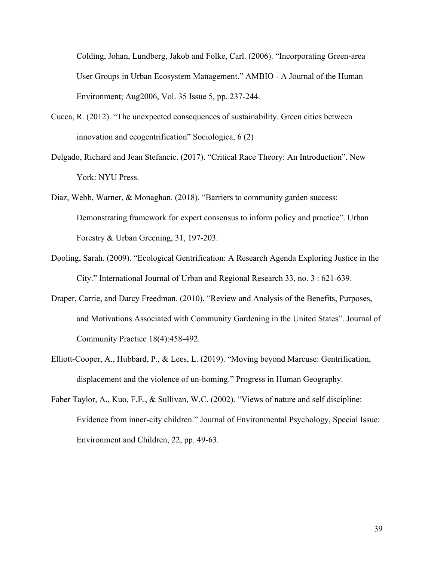Colding, Johan, Lundberg, Jakob and Folke, Carl. (2006). "Incorporating Green-area User Groups in Urban Ecosystem Management." AMBIO - A Journal of the Human Environment; Aug2006, Vol. 35 Issue 5, pp. 237-244.

- Cucca, R. (2012). "The unexpected consequences of sustainability. Green cities between innovation and ecogentrification" Sociologica, 6 (2)
- Delgado, Richard and Jean Stefancic. (2017). "Critical Race Theory: An Introduction". New York: NYU Press.
- Diaz, Webb, Warner, & Monaghan. (2018). "Barriers to community garden success: Demonstrating framework for expert consensus to inform policy and practice". Urban Forestry & Urban Greening, 31, 197-203.
- Dooling, Sarah. (2009). "Ecological Gentrification: A Research Agenda Exploring Justice in the City." International Journal of Urban and Regional Research 33, no. 3 : 621-639.
- Draper, Carrie, and Darcy Freedman. (2010). "Review and Analysis of the Benefits, Purposes, and Motivations Associated with Community Gardening in the United States". Journal of Community Practice 18(4):458-492.
- Elliott-Cooper, A., Hubbard, P., & Lees, L. (2019). "Moving beyond Marcuse: Gentrification, displacement and the violence of un-homing." Progress in Human Geography.
- Faber Taylor, A., Kuo, F.E., & Sullivan, W.C. (2002). "Views of nature and self discipline: Evidence from inner-city children." Journal of Environmental Psychology, Special Issue: Environment and Children, 22, pp. 49-63.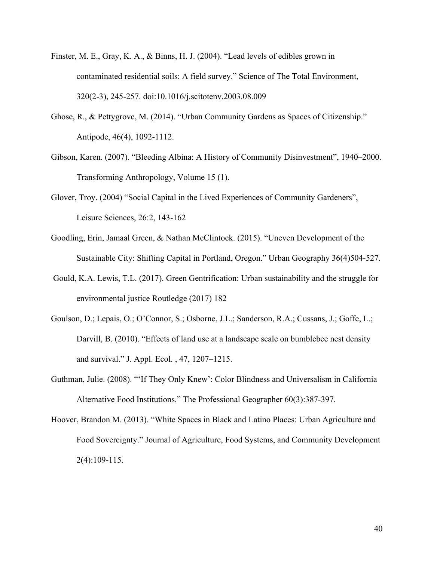- Finster, M. E., Gray, K. A., & Binns, H. J. (2004). "Lead levels of edibles grown in contaminated residential soils: A field survey." Science of The Total Environment, 320(2-3), 245-257. doi:10.1016/j.scitotenv.2003.08.009
- Ghose, R., & Pettygrove, M. (2014). "Urban Community Gardens as Spaces of Citizenship." Antipode, 46(4), 1092-1112.
- Gibson, Karen. (2007). "Bleeding Albina: A History of Community Disinvestment", 1940–2000. Transforming Anthropology, Volume 15 (1).
- Glover, Troy. (2004) "Social Capital in the Lived Experiences of Community Gardeners", Leisure Sciences, 26:2, 143-162
- Goodling, Erin, Jamaal Green, & Nathan McClintock. (2015). "Uneven Development of the Sustainable City: Shifting Capital in Portland, Oregon." Urban Geography 36(4)504-527.
- Gould, K.A. Lewis, T.L. (2017). Green Gentrification: Urban sustainability and the struggle for environmental justice Routledge (2017) 182
- Goulson, D.; Lepais, O.; O'Connor, S.; Osborne, J.L.; Sanderson, R.A.; Cussans, J.; Goffe, L.; Darvill, B. (2010). "Effects of land use at a landscape scale on bumblebee nest density and survival." J. Appl. Ecol. , 47, 1207–1215.
- Guthman, Julie. (2008). "'If They Only Knew': Color Blindness and Universalism in California Alternative Food Institutions." The Professional Geographer 60(3):387-397.
- Hoover, Brandon M. (2013). "White Spaces in Black and Latino Places: Urban Agriculture and Food Sovereignty." Journal of Agriculture, Food Systems, and Community Development 2(4):109-115.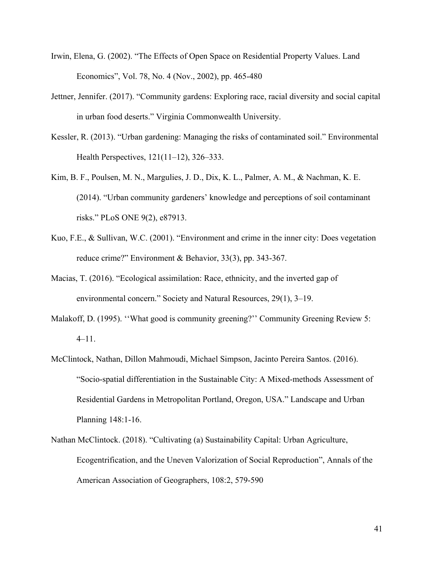- Irwin, Elena, G. (2002). "The Effects of Open Space on Residential Property Values. Land Economics", Vol. 78, No. 4 (Nov., 2002), pp. 465-480
- Jettner, Jennifer. (2017). "Community gardens: Exploring race, racial diversity and social capital in urban food deserts." Virginia Commonwealth University.
- Kessler, R. (2013). "Urban gardening: Managing the risks of contaminated soil." Environmental Health Perspectives, 121(11–12), 326–333.
- Kim, B. F., Poulsen, M. N., Margulies, J. D., Dix, K. L., Palmer, A. M., & Nachman, K. E. (2014). "Urban community gardeners' knowledge and perceptions of soil contaminant risks." PLoS ONE 9(2), e87913.
- Kuo, F.E., & Sullivan, W.C. (2001). "Environment and crime in the inner city: Does vegetation reduce crime?" Environment & Behavior, 33(3), pp. 343-367.
- Macias, T. (2016). "Ecological assimilation: Race, ethnicity, and the inverted gap of environmental concern." Society and Natural Resources, 29(1), 3–19.
- Malakoff, D. (1995). "What good is community greening?" Community Greening Review 5: 4–11.
- McClintock, Nathan, Dillon Mahmoudi, Michael Simpson, Jacinto Pereira Santos. (2016). "Socio-spatial differentiation in the Sustainable City: A Mixed-methods Assessment of Residential Gardens in Metropolitan Portland, Oregon, USA." Landscape and Urban Planning 148:1-16.
- Nathan McClintock. (2018). "Cultivating (a) Sustainability Capital: Urban Agriculture, Ecogentrification, and the Uneven Valorization of Social Reproduction", Annals of the American Association of Geographers, 108:2, 579-590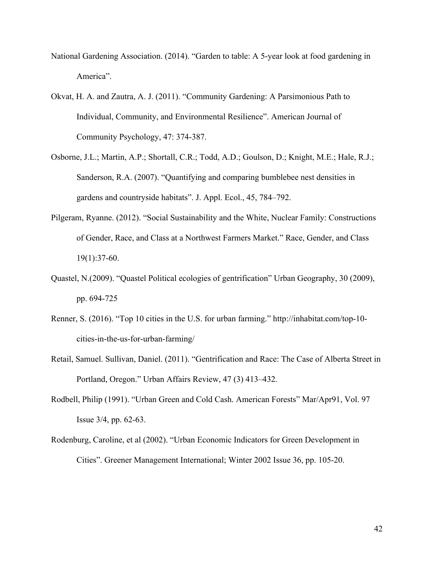- National Gardening Association. (2014). "Garden to table: A 5-year look at food gardening in America".
- Okvat, H. A. and Zautra, A. J. (2011). "Community Gardening: A Parsimonious Path to Individual, Community, and Environmental Resilience". American Journal of Community Psychology, 47: 374-387.
- Osborne, J.L.; Martin, A.P.; Shortall, C.R.; Todd, A.D.; Goulson, D.; Knight, M.E.; Hale, R.J.; Sanderson, R.A. (2007). "Quantifying and comparing bumblebee nest densities in gardens and countryside habitats". J. Appl. Ecol., 45, 784–792.
- Pilgeram, Ryanne. (2012). "Social Sustainability and the White, Nuclear Family: Constructions of Gender, Race, and Class at a Northwest Farmers Market." Race, Gender, and Class  $19(1):37-60.$
- Quastel, N.(2009). "Quastel Political ecologies of gentrification" Urban Geography, 30 (2009), pp. 694-725
- Renner, S. (2016). "Top 10 cities in the U.S. for urban farming." http://inhabitat.com/top-10 cities-in-the-us-for-urban-farming/
- Retail, Samuel. Sullivan, Daniel. (2011). "Gentrification and Race: The Case of Alberta Street in Portland, Oregon." Urban Affairs Review, 47 (3) 413–432.
- Rodbell, Philip (1991). "Urban Green and Cold Cash. American Forests" Mar/Apr91, Vol. 97 Issue 3/4, pp. 62-63.
- Rodenburg, Caroline, et al (2002). "Urban Economic Indicators for Green Development in Cities". Greener Management International; Winter 2002 Issue 36, pp. 105-20.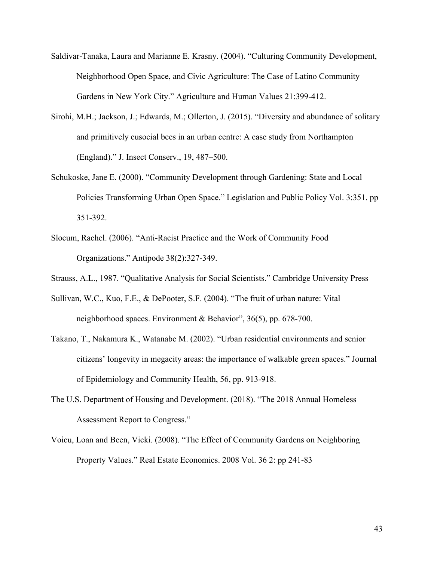- Saldivar-Tanaka, Laura and Marianne E. Krasny. (2004). "Culturing Community Development, Neighborhood Open Space, and Civic Agriculture: The Case of Latino Community Gardens in New York City." Agriculture and Human Values 21:399-412.
- Sirohi, M.H.; Jackson, J.; Edwards, M.; Ollerton, J. (2015). "Diversity and abundance of solitary and primitively eusocial bees in an urban centre: A case study from Northampton (England)." J. Insect Conserv., 19, 487–500.
- Schukoske, Jane E. (2000). "Community Development through Gardening: State and Local Policies Transforming Urban Open Space." Legislation and Public Policy Vol. 3:351. pp 351-392.
- Slocum, Rachel. (2006). "Anti-Racist Practice and the Work of Community Food Organizations." Antipode 38(2):327-349.
- Strauss, A.L., 1987. "Qualitative Analysis for Social Scientists." Cambridge University Press
- Sullivan, W.C., Kuo, F.E., & DePooter, S.F. (2004). "The fruit of urban nature: Vital neighborhood spaces. Environment & Behavior", 36(5), pp. 678-700.
- Takano, T., Nakamura K., Watanabe M. (2002). "Urban residential environments and senior citizens' longevity in megacity areas: the importance of walkable green spaces." Journal of Epidemiology and Community Health, 56, pp. 913-918.
- The U.S. Department of Housing and Development. (2018). "The 2018 Annual Homeless Assessment Report to Congress."
- Voicu, Loan and Been, Vicki. (2008). "The Effect of Community Gardens on Neighboring Property Values." Real Estate Economics. 2008 Vol. 36 2: pp 241-83